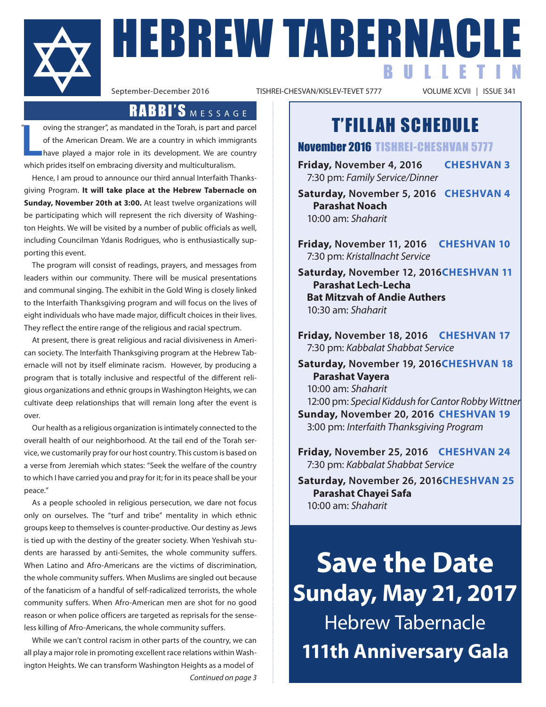

**FIEBREW TABERNACLE** BULLETIN

TISHREI-CHESVAN/KISLEV-TEVET 5777

### RABBI'S MESSAGE

**L**<br>Propinsi oving the stranger", as mandated in the Torah, is part and parcel of the American Dream. We are a country in which immigrants have played a major role in its development. We are country which prides itself on embracing diversity and multiculturalism. "

Hence, I am proud to announce our third annual Interfaith Thanksgiving Program. **It will take place at the Hebrew Tabernacle on Sunday, November 20th at 3:00.** At least twelve organizations will be participating which will represent the rich diversity of Washington Heights. We will be visited by a number of public officials as well, including Councilman Ydanis Rodrigues, who is enthusiastically supporting this event.

The program will consist of readings, prayers, and messages from leaders within our community. There will be musical presentations and communal singing. The exhibit in the Gold Wing is closely linked to the Interfaith Thanksgiving program and will focus on the lives of eight individuals who have made major, difficult choices in their lives. They reflect the entire range of the religious and racial spectrum.

At present, there is great religious and racial divisiveness in American society. The Interfaith Thanksgiving program at the Hebrew Tabernacle will not by itself eliminate racism. However, by producing a program that is totally inclusive and respectful of the different religious organizations and ethnic groups in Washington Heights, we can cultivate deep relationships that will remain long after the event is over.

Our health as a religious organization is intimately connected to the overall health of our neighborhood. At the tail end of the Torah service, we customarily pray for our host country. This custom is based on a verse from Jeremiah which states: "Seek the welfare of the country to which I have carried you and pray for it; for in its peace shall be your peace."

As a people schooled in religious persecution, we dare not focus only on ourselves. The "turf and tribe" mentality in which ethnic groups keep to themselves is counter-productive. Our destiny as Jews is tied up with the destiny of the greater society. When Yeshivah students are harassed by anti-Semites, the whole community suffers. When Latino and Afro-Americans are the victims of discrimination, the whole community suffers. When Muslims are singled out because of the fanaticism of a handful of self-radicalized terrorists, the whole community suffers. When Afro-American men are shot for no good reason or when police officers are targeted as reprisals for the senseless killing of Afro-Americans, the whole community suffers.

While we can't control racism in other parts of the country, we can all play a major role in promoting excellent race relations within Washington Heights. We can transform Washington Heights as a model of *Continued on page 3*

## T'FILLAH SCHEDULE

#### November 2016 TISHREI-CHESHVAN 5777

**Friday, November 4, 2016 CHESHVAN 3** 7:30 pm: *Family Service/Dinner*

**Saturday, November 5, 2016 CHESHVAN 4 Parashat Noach** 10:00 am: *Shaharit*

**Friday, November 11, 2016 CHESHVAN 10** 7:30 pm: *Kristallnacht Service*

**Saturday, November 12, 2016CHESHVAN 11 Parashat Lech-Lecha Bat Mitzvah of Andie Authers** 10:30 am: *Shaharit*

**Friday, November 18, 2016 CHESHVAN 17** 7:30 pm: *Kabbalat Shabbat Service*

**Saturday, November 19, 2016CHESHVAN 18 Parashat Vayera** 10:00 am: *Shaharit* 12:00 pm: *Special Kiddush for Cantor Robby Wittner* **Sunday, November 20, 2016 CHESHVAN 19** 3:00 pm: *Interfaith Thanksgiving Program*

**Friday, November 25, 2016 CHESHVAN 24** 7:30 pm: *Kabbalat Shabbat Service*

**Saturday, November 26, 2016CHESHVAN 25 Parashat Chayei Safa** 10:00 am: *Shaharit*

**Save the Date Sunday, May 21, 2017** Hebrew Tabernacle **111th Anniversary Gala**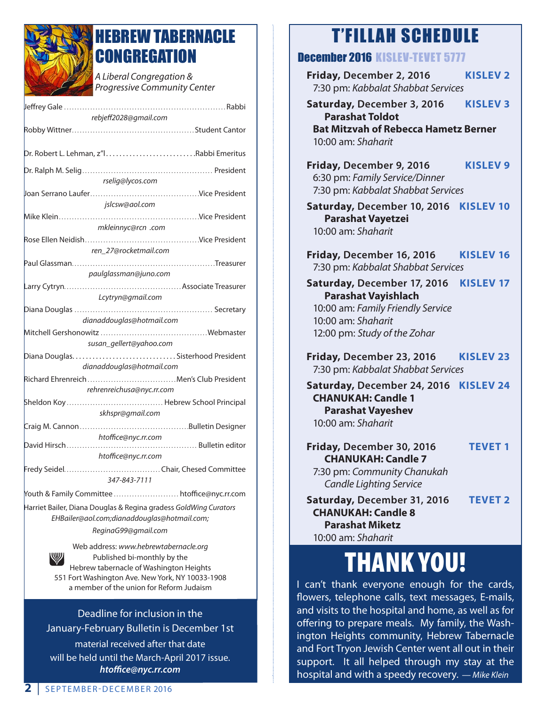

## HEBREW TABERNACLE **CONGREGATION**

*A Liberal Congregation & Progressive Community Center* 

| rebjeff2028@gmail.com                                                                                           |  |
|-----------------------------------------------------------------------------------------------------------------|--|
|                                                                                                                 |  |
| Dr. Robert L. Lehman, z"lRabbi Emeritus                                                                         |  |
| rselig@lycos.com                                                                                                |  |
|                                                                                                                 |  |
| islcsw@aol.com                                                                                                  |  |
|                                                                                                                 |  |
| mkleinnyc@rcn .com                                                                                              |  |
| Rose Ellen Neidish………………………………………Vice President                                                                 |  |
| ren 27@rocketmail.com                                                                                           |  |
|                                                                                                                 |  |
| paulglassman@juno.com                                                                                           |  |
|                                                                                                                 |  |
| Lcytryn@gmail.com                                                                                               |  |
|                                                                                                                 |  |
| dianaddouglas@hotmail.com                                                                                       |  |
|                                                                                                                 |  |
| susan_gellert@yahoo.com                                                                                         |  |
|                                                                                                                 |  |
|                                                                                                                 |  |
| dianaddouglas@hotmail.com                                                                                       |  |
|                                                                                                                 |  |
| rehrenreichusa@nyc.rr.com                                                                                       |  |
|                                                                                                                 |  |
| skhspr@gmail.com                                                                                                |  |
|                                                                                                                 |  |
| htoffice@nyc.rr.com                                                                                             |  |
| David Hirsch                                                                                                    |  |
| htoffice@nyc.rr.com                                                                                             |  |
| 347-843-7111                                                                                                    |  |
| Youth & Family Committee  htoffice@nyc.rr.com                                                                   |  |
| Harriet Bailer, Diana Douglas & Regina gradess GoldWing Curators<br>EHBailer@aol.com;dianaddouglas@hotmail.com; |  |
| ReginaG99@gmail.com                                                                                             |  |
| Web address: www.hebrewtabernacle.org                                                                           |  |

Published bi-monthly by the Hebrew tabernacle of Washington Heights 551 Fort Washington Ave. New York, NY 10033-1908 a member of the union for Reform Judaism

Deadline for inclusion in the January-February Bulletin is December 1st

material received after that date will be held until the March-April 2017 issue. *htoffice@nyc.rr.com*

## 'FILLAH SCHEDULE

### December 2016 KISLEV-TEV

| UGGGIIIUGI ZUTO MIƏLEV-LEVEL Ə <i>iti</i>                                                                                                            |                  |  |
|------------------------------------------------------------------------------------------------------------------------------------------------------|------------------|--|
| Friday, December 2, 2016<br>7:30 pm: Kabbalat Shabbat Services                                                                                       | <b>KISLEV 2</b>  |  |
| Saturday, December 3, 2016<br><b>Parashat Toldot</b><br><b>Bat Mitzvah of Rebecca Hametz Berner</b><br>10:00 am: Shaharit                            | <b>KISLEV 3</b>  |  |
| Friday, December 9, 2016<br>6:30 pm: Family Service/Dinner<br>7:30 pm: Kabbalat Shabbat Services                                                     | <b>KISLEV 9</b>  |  |
| Saturday, December 10, 2016<br><b>Parashat Vayetzei</b><br>10:00 am: Shaharit                                                                        | <b>KISLEV 10</b> |  |
| Friday, December 16, 2016<br>7:30 pm: Kabbalat Shabbat Services                                                                                      | <b>KISLEV 16</b> |  |
| Saturday, December 17, 2016<br><b>Parashat Vayishlach</b><br>10:00 am: Family Friendly Service<br>10:00 am: Shaharit<br>12:00 pm: Study of the Zohar | <b>KISLEV 17</b> |  |
| Friday, December 23, 2016<br>7:30 pm: Kabbalat Shabbat Services                                                                                      | <b>KISLEV 23</b> |  |
| Saturday, December 24, 2016 KISLEV 24<br><b>CHANUKAH: Candle 1</b><br><b>Parashat Vayeshev</b><br>10:00 am: Shaharit                                 |                  |  |
| Friday, December 30, 2016<br><b>CHANUKAH: Candle 7</b><br>7:30 pm: Community Chanukah<br><b>Candle Lighting Service</b>                              | <b>TEVET 1</b>   |  |
| Saturday, December 31, 2016<br><b>CHANUKAH: Candle 8</b><br><b>Parashat Miketz</b><br>10:00 am: Shaharit                                             | <b>TEVET 2</b>   |  |

# THANK YOU!

I can't thank everyone enough for the cards, flowers, telephone calls, text messages, E-mails, and visits to the hospital and home, as well as for offering to prepare meals. My family, the Washington Heights community, Hebrew Tabernacle and Fort Tryon Jewish Center went all out in their support. It all helped through my stay at the hospital and with a speedy recovery. *— Mike Klein*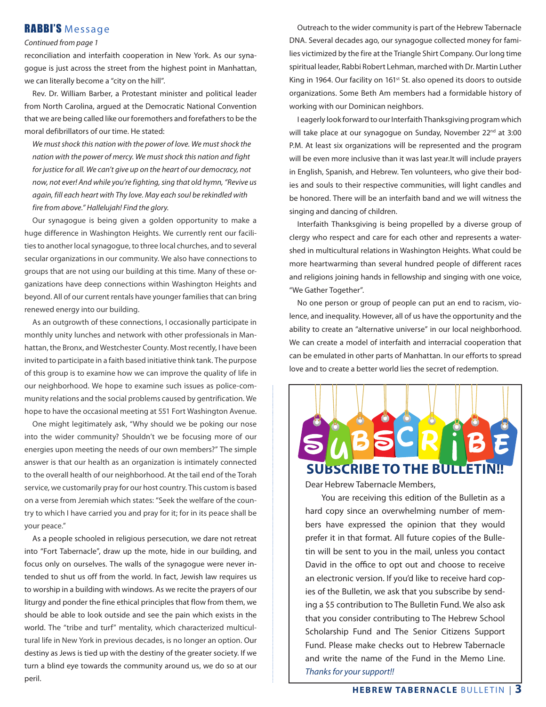#### RABBI'S Message

#### *Continued from page 1*

reconciliation and interfaith cooperation in New York. As our synagogue is just across the street from the highest point in Manhattan, we can literally become a "city on the hill".

Rev. Dr. William Barber, a Protestant minister and political leader from North Carolina, argued at the Democratic National Convention that we are being called like our foremothers and forefathers to be the moral defibrillators of our time. He stated:

 *We must shock this nation with the power of love. We must shock the nation with the power of mercy. We must shock this nation and fight for justice for all. We can't give up on the heart of our democracy, not now, not ever! And while you're fighting, sing that old hymn, "Revive us again, fill each heart with Thy love. May each soul be rekindled with fire from above." Hallelujah! Find the glory.*

Our synagogue is being given a golden opportunity to make a huge difference in Washington Heights. We currently rent our facilities to another local synagogue, to three local churches, and to several secular organizations in our community. We also have connections to groups that are not using our building at this time. Many of these organizations have deep connections within Washington Heights and beyond. All of our current rentals have younger families that can bring renewed energy into our building.

As an outgrowth of these connections, I occasionally participate in monthly unity lunches and network with other professionals in Manhattan, the Bronx, and Westchester County. Most recently, I have been invited to participate in a faith based initiative think tank. The purpose of this group is to examine how we can improve the quality of life in our neighborhood. We hope to examine such issues as police-community relations and the social problems caused by gentrification. We hope to have the occasional meeting at 551 Fort Washington Avenue.

One might legitimately ask, "Why should we be poking our nose into the wider community? Shouldn't we be focusing more of our energies upon meeting the needs of our own members?" The simple answer is that our health as an organization is intimately connected to the overall health of our neighborhood. At the tail end of the Torah service, we customarily pray for our host country. This custom is based on a verse from Jeremiah which states: "Seek the welfare of the country to which I have carried you and pray for it; for in its peace shall be your peace."

As a people schooled in religious persecution, we dare not retreat into "Fort Tabernacle", draw up the mote, hide in our building, and focus only on ourselves. The walls of the synagogue were never intended to shut us off from the world. In fact, Jewish law requires us to worship in a building with windows. As we recite the prayers of our liturgy and ponder the fine ethical principles that flow from them, we should be able to look outside and see the pain which exists in the world. The "tribe and turf" mentality, which characterized multicultural life in New York in previous decades, is no longer an option. Our destiny as Jews is tied up with the destiny of the greater society. If we turn a blind eye towards the community around us, we do so at our peril.

Outreach to the wider community is part of the Hebrew Tabernacle DNA. Several decades ago, our synagogue collected money for families victimized by the fire at the Triangle Shirt Company. Our long time spiritual leader, Rabbi Robert Lehman, marched with Dr. Martin Luther King in 1964. Our facility on 161<sup>st</sup> St. also opened its doors to outside organizations. Some Beth Am members had a formidable history of working with our Dominican neighbors.

I eagerly look forward to our Interfaith Thanksgiving program which will take place at our synagogue on Sunday, November 22<sup>nd</sup> at 3:00 P.M. At least six organizations will be represented and the program will be even more inclusive than it was last year.It will include prayers in English, Spanish, and Hebrew. Ten volunteers, who give their bodies and souls to their respective communities, will light candles and be honored. There will be an interfaith band and we will witness the singing and dancing of children.

Interfaith Thanksgiving is being propelled by a diverse group of clergy who respect and care for each other and represents a watershed in multicultural relations in Washington Heights. What could be more heartwarming than several hundred people of different races and religions joining hands in fellowship and singing with one voice, "We Gather Together".

No one person or group of people can put an end to racism, violence, and inequality. However, all of us have the opportunity and the ability to create an "alternative universe" in our local neighborhood. We can create a model of interfaith and interracial cooperation that can be emulated in other parts of Manhattan. In our efforts to spread love and to create a better world lies the secret of redemption.



Dear Hebrew Tabernacle Members,

You are receiving this edition of the Bulletin as a hard copy since an overwhelming number of members have expressed the opinion that they would prefer it in that format. All future copies of the Bulletin will be sent to you in the mail, unless you contact David in the office to opt out and choose to receive an electronic version. If you'd like to receive hard copies of the Bulletin, we ask that you subscribe by sending a \$5 contribution to The Bulletin Fund. We also ask that you consider contributing to The Hebrew School Scholarship Fund and The Senior Citizens Support Fund. Please make checks out to Hebrew Tabernacle and write the name of the Fund in the Memo Line. *Thanks for your support!!*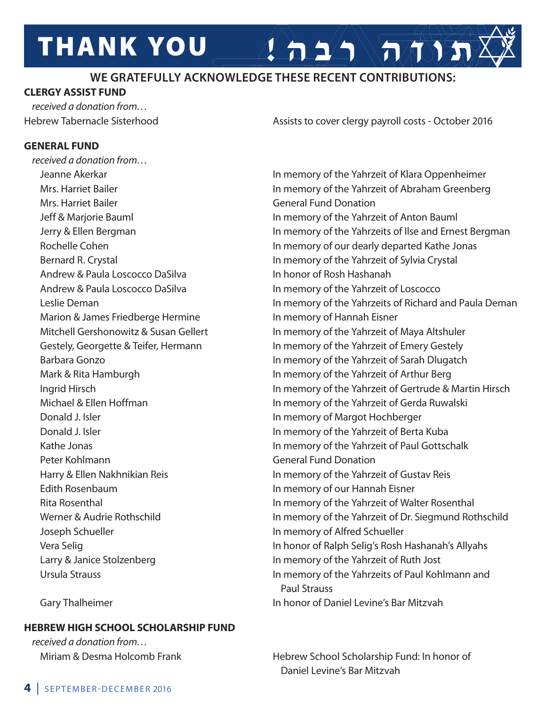### **WE GRATEFULLY ACKNOWLEDGE THESE RECENT CONTRIBUTIONS:**

#### **CLERGY ASSIST FUND**

*received a donation from…*

#### **GENERAL FUND**

*received a donation from…* Jeanne Akerkar In memory of the Yahrzeit of Klara Oppenheimer Mrs. Harriet Bailer General Fund Donation Andrew & Paula Loscocco DaSilva **In the Contract Contract Andrew & Paula** Loscocco DaSilva Marion & James Friedberge Hermine **In memory of Hannah Eisner** Donald J. Isler **In memory of Margot Hochberger**  Peter Kohlmann General Fund Donation Edith Rosenbaum **In memory of our Hannah Eisner** Joseph Schueller In memory of Alfred Schueller

Hebrew Tabernacle Sisterhood **Assists to cover clergy payroll costs** - October 2016

 $\left( \left. \frac{1}{2} \right) \sqrt{\pi N} \right)$ 

Mrs. Harriet Bailer **In memory of the Yahrzeit of Abraham Greenberg**  Jeff & Marjorie Bauml In memory of the Yahrzeit of Anton Bauml Jerry & Ellen Bergman In memory of the Yahrzeits of Ilse and Ernest Bergman Rochelle Cohen **In memory of our dearly departed Kathe Jonas** Bernard R. Crystal **In memory of the Yahrzeit of Sylvia Crystal** Andrew & Paula Loscocco DaSilva **In memory of the Yahrzeit of Loscocco**  Leslie Deman In memory of the Yahrzeits of Richard and Paula Deman Mitchell Gershonowitz & Susan Gellert In memory of the Yahrzeit of Maya Altshuler Gestely, Georgette & Teifer, Hermann In memory of the Yahrzeit of Emery Gestely Barbara Gonzo **In memory of the Yahrzeit of Sarah Dlugatch** Mark & Rita Hamburgh **In memory of the Yahrzeit of Arthur Berg**  Ingrid Hirsch In memory of the Yahrzeit of Gertrude & Martin Hirsch Michael & Ellen Hoffman **In memory of the Yahrzeit of Gerda Ruwalski** Donald J. Isler **In memory of the Yahrzeit of Berta Kuba** Kathe Jonas **In memory of the Yahrzeit of Paul Gottschalk**  Harry & Ellen Nakhnikian Reis In memory of the Yahrzeit of Gustav Reis Rita Rosenthal In memory of the Yahrzeit of Walter Rosenthal Werner & Audrie Rothschild **In memory of the Yahrzeit of Dr. Siegmund Rothschild**  Vera Selig In honor of Ralph Selig's Rosh Hashanah's Allyahs Larry & Janice Stolzenberg **In memory of the Yahrzeit of Ruth Jost**  Ursula Strauss In memory of the Yahrzeits of Paul Kohlmann and Paul Strauss

Gary Thalheimer **In the Levine's Bar Mitzvah** In honor of Daniel Levine's Bar Mitzvah

Miriam & Desma Holcomb Frank Hebrew School Scholarship Fund: In honor of Daniel Levine's Bar Mitzvah

#### **HEBREW HIGH SCHOOL SCHOLARSHIP FUND**

*received a donation from…*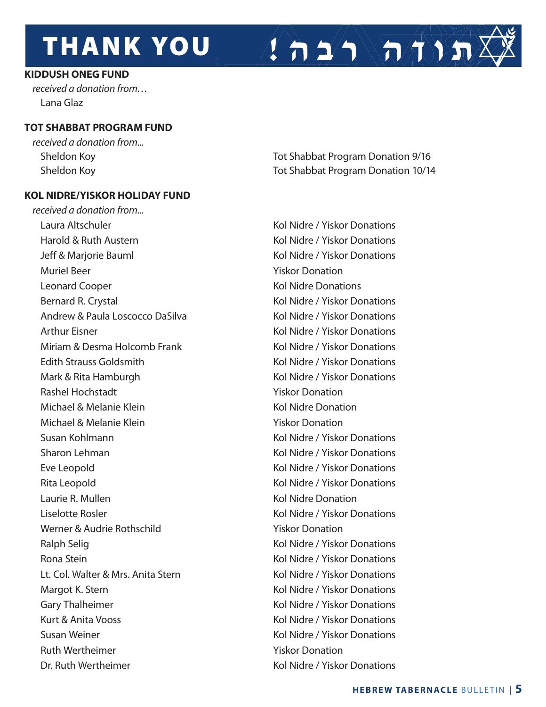#### **KIDDUSH ONEG FUND**

*received a donation from…* Lana Glaz

#### **TOT SHABBAT PROGRAM FUND**

*received a donation from...*

#### **KOL NIDRE/YISKOR HOLIDAY FUND**

*received a donation from...* Laura Altschuler Note and Altschuler Constanting Management Constanting Kol Nidre / Yiskor Donations Harold & Ruth Austern Kol Nidre / Yiskor Donations Jeff & Marjorie Bauml **Kol Nidre / Yiskor Donations** Muriel Beer **Yiskor Donation** Leonard Cooper The Cooper Cooper Cooper Cooper Assessment Cooperations and Kol Nidre Donations Bernard R. Crystal **Kol Nidre / Yiskor Donations** Kol Nidre / Yiskor Donations Andrew & Paula Loscocco DaSilva Kol Nidre / Yiskor Donations Arthur Eisner Kol Nidre / Yiskor Donations Miriam & Desma Holcomb Frank The Collection Control Kol Nidre / Yiskor Donations Edith Strauss Goldsmith **Edition** Kol Nidre / Yiskor Donations Mark & Rita Hamburgh **Kol Nidre / Yiskor Donations** Kol Nidre / Yiskor Donations Rashel Hochstadt Yiskor Donation Michael & Melanie Klein Kol Nidre Donation Michael & Melanie Klein **Yiskor Donation** Susan Kohlmann **Kollandia Kol Nidre / Yiskor Donations** Sharon Lehman **Kol Nidre / Yiskor Donations** Eve Leopold **Eve Leopold Kol Nidre / Yiskor Donations** Rita Leopold **Kol Nidre / Yiskor Donations** Kol Nidre / Yiskor Donations Laurie R. Mullen Kol Nidre Donation Liselotte Rosler Kol Nidre / Yiskor Donations Werner & Audrie Rothschild Viskor Donation Ralph Selig Kol Nidre / Yiskor Donations Rona Stein **Kollah Kol Nidre / Yiskor Donations** Lt. Col. Walter & Mrs. Anita Stern Kull Collection Collection Kol Nidre / Yiskor Donations Margot K. Stern Kol Nidre / Yiskor Donations Gary Thalheimer **Kol Nidre / Yiskor Donations** Kol Nidre / Yiskor Donations Kurt & Anita Vooss **Kol Nidre / Yiskor Donations** Kol Nidre / Yiskor Donations Susan Weiner Kol Nidre / Yiskor Donations Ruth Wertheimer Theorem 2008 Services and Muslim Viskor Donation

Sheldon Koy **Tot Shabbat Program Donation 9/16** Sheldon Koy **The Community Community** Tot Shabbat Program Donation 10/14

 $\left( \frac{1}{n} \sum_{i=1}^{n} \sqrt{n} \sqrt{n} \right)$ 

Dr. Ruth Wertheimer The Collection of the Kol Nidre / Yiskor Donations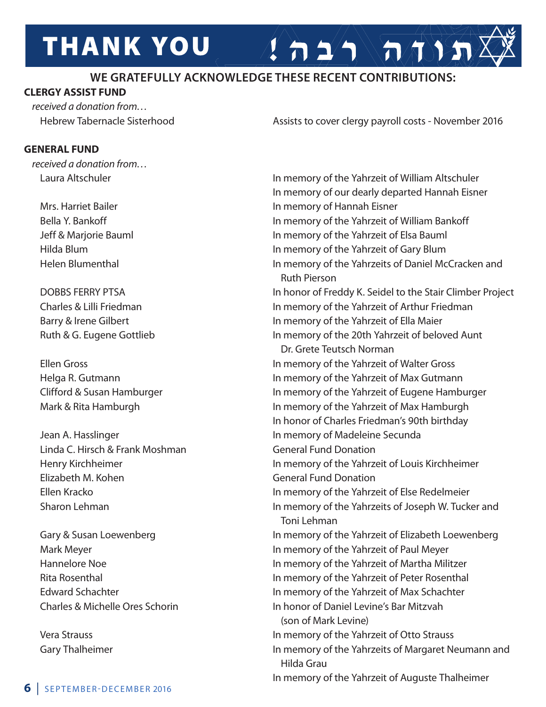### **WE GRATEFULLY ACKNOWLEDGE THESE RECENT CONTRIBUTIONS:**

#### **CLERGY ASSIST FUND**

*received a donation from…*

#### **GENERAL FUND**

*received a donation from…*

Linda C. Hirsch & Frank Moshman General Fund Donation Elizabeth M. Kohen General Fund Donation

Hebrew Tabernacle Sisterhood **Assists to cover clergy payroll costs - November 2016** 

 $2 \Delta 2 \Delta \tan 3 \pi$ 

Laura Altschuler **In memory of the Yahrzeit of William Altschuler**  In memory of our dearly departed Hannah Eisner Mrs. Harriet Bailer **In Mars.** In memory of Hannah Eisner Bella Y. Bankoff **In the U. A. S. A. S. A. S. A. S. A. S. A. S. A. S. A. S. A. S. A. S. A. S. A. S. A. S. A. S. A.** S. A. S. A. S. A. S. A. S. A. S. A. S. A. S. A. S. A. S. A. S. A. S. A. S. A. S. A. S. A. S. A. S. A. S. A Jeff & Marjorie Bauml In memory of the Yahrzeit of Elsa Bauml Hilda Blum In memory of the Yahrzeit of Gary Blum Helen Blumenthal **In memory of the Yahrzeits of Daniel McCracken and**  Ruth Pierson DOBBS FERRY PTSA **In honor of Freddy K. Seidel to the Stair Climber Project**  Charles & Lilli Friedman In memory of the Yahrzeit of Arthur Friedman Barry & Irene Gilbert **In memory of the Yahrzeit of Ella Maier** Ruth & G. Eugene Gottlieb **In memory of the 20th Yahrzeit of beloved Aunt**  Dr. Grete Teutsch Norman Ellen Gross In memory of the Yahrzeit of Walter Gross Helga R. Gutmann **In memory of the Yahrzeit of Max Gutmann** Clifford & Susan Hamburger **In memory of the Yahrzeit of Eugene Hamburger** Mark & Rita Hamburgh **In memory of the Yahrzeit of Max Hamburgh**  In honor of Charles Friedman's 90th birthday Jean A. Hasslinger In memory of Madeleine Secunda Henry Kirchheimer In memory of the Yahrzeit of Louis Kirchheimer Ellen Kracko In memory of the Yahrzeit of Else Redelmeier Sharon Lehman **In memory of the Yahrzeits of Joseph W. Tucker and**  Toni Lehman Gary & Susan Loewenberg **In memory of the Yahrzeit of Elizabeth Loewenberg** Mark Meyer **In memory of the Yahrzeit of Paul Meyer** In memory of the Yahrzeit of Paul Meyer Hannelore Noe In memory of the Yahrzeit of Martha Militzer Rita Rosenthal **In memory of the Yahrzeit of Peter Rosenthal**  Edward Schachter In memory of the Yahrzeit of Max Schachter Charles & Michelle Ores Schorin In honor of Daniel Levine's Bar Mitzvah (son of Mark Levine) Vera Strauss In memory of the Yahrzeit of Otto Strauss Gary Thalheimer **In memory of the Yahrzeits of Margaret Neumann and**  Hilda Grau In memory of the Yahrzeit of Auguste Thalheimer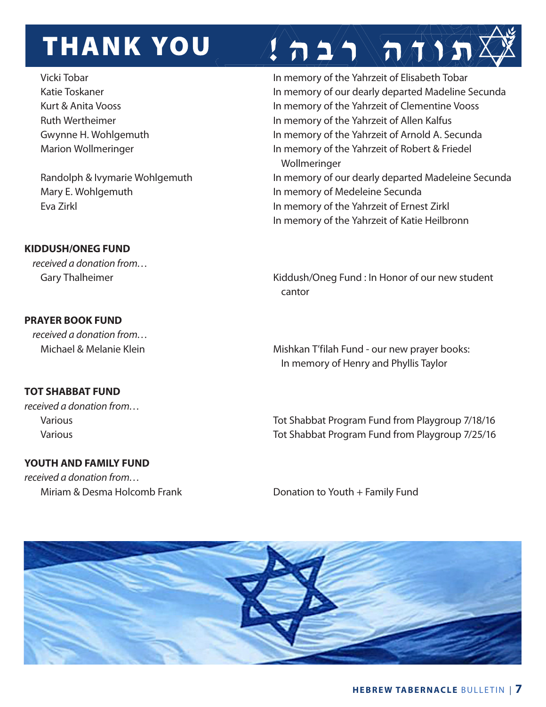Mary E. Wohlgemuth **In memory of Medeleine Secunda** 

#### **KIDDUSH/ONEG FUND**

*received a donation from…*

#### **PRAYER BOOK FUND**

*received a donation from…*

#### **TOT SHABBAT FUND**

*received a donation from…*

#### **YOUTH AND FAMILY FUND**

*received a donation from…*

Vicki Tobar **In memory of the Yahrzeit of Elisabeth Tobar** In memory of the Yahrzeit of Elisabeth Tobar Katie Toskaner **In memory of our dearly departed Madeline Secunda** Kurt & Anita Vooss **In memory of the Yahrzeit of Clementine Vooss** Ruth Wertheimer **In memory of the Yahrzeit of Allen Kalfus** Gwynne H. Wohlgemuth **In memory of the Yahrzeit of Arnold A. Secunda** Marion Wollmeringer **In memory of the Yahrzeit of Robert & Friedel** Wollmeringer

 $\lim_{n \to \infty}$ 

Randolph & Ivymarie Wohlgemuth In memory of our dearly departed Madeleine Secunda Eva Zirkl In memory of the Yahrzeit of Ernest Zirkl In memory of the Yahrzeit of Katie Heilbronn

Gary Thalheimer **Kiddush/Oneg Fund : In Honor of our new student** cantor and the contract of the contract of the contract of the contract of the contract of the contract of the

Michael & Melanie Klein Mishkan T'filah Fund - our new prayer books: In memory of Henry and Phyllis Taylor

Various **Various** Tot Shabbat Program Fund from Playgroup 7/18/16 Various Tot Shabbat Program Fund from Playgroup 7/25/16

Miriam & Desma Holcomb Frank Donation to Youth + Family Fund